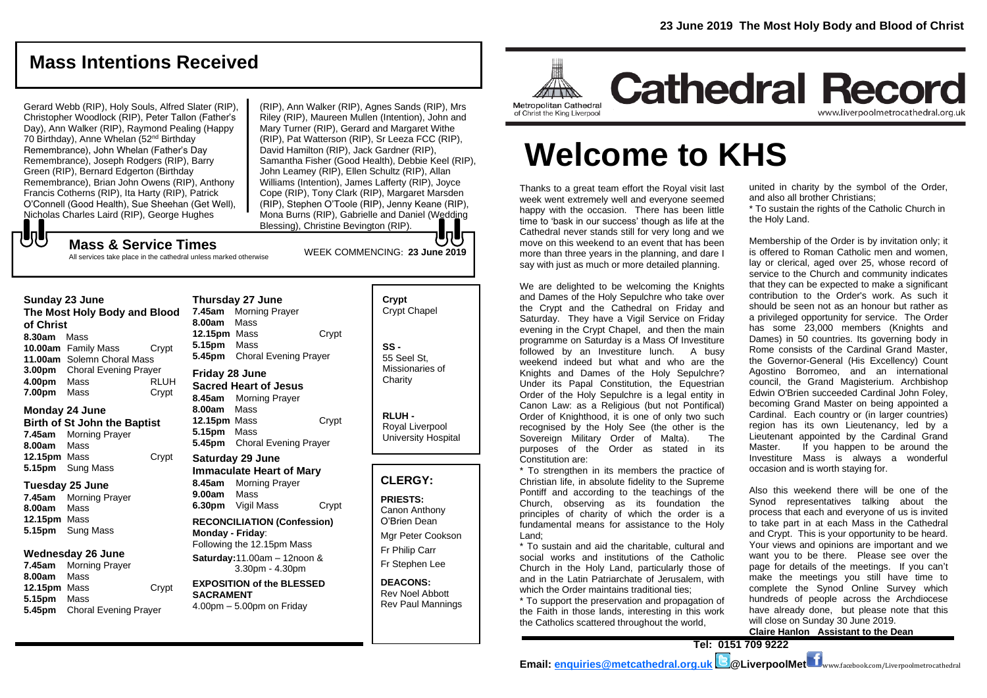## **Mass Intentions Received**

Gerard Webb (RIP), Holy Souls, Alfred Slater (RIP), Christopher Woodlock (RIP), Peter Tallon (Father's Day), Ann Walker (RIP), Raymond Pealing (Happy 70 Birthday), Anne Whelan (52nd Birthday Remembrance), John Whelan (Father's Day Remembrance), Joseph Rodgers (RIP), Barry Green (RIP), Bernard Edgerton (Birthday Remembrance), Brian John Owens (RIP), Anthony Francis Cotherns (RIP), Ita Harty (RIP), Patrick O'Connell (Good Health), Sue Sheehan (Get Well), Nicholas Charles Laird (RIP), George Hughes

(RIP), Ann Walker (RIP), Agnes Sands (RIP), Mrs Riley (RIP), Maureen Mullen (Intention), John and Mary Turner (RIP), Gerard and Margaret Withe (RIP), Pat Watterson (RIP), Sr Leeza FCC (RIP), David Hamilton (RIP), Jack Gardner (RIP), Samantha Fisher (Good Health), Debbie Keel (RIP), John Leamey (RIP), Ellen Schultz (RIP), Allan Williams (Intention), James Lafferty (RIP), Joyce Cope (RIP), Tony Clark (RIP), Margaret Marsden (RIP), Stephen O'Toole (RIP), Jenny Keane (RIP), Mona Burns (RIP), Gabrielle and Daniel (Wedding Blessing), Christine Bevington (RIP).

WEEK COMMENCING: **23 June 2019**

**Mass & Service Times** All services take place in the cathedral unless marked otherwise

#### **Sunday 23 June**

もし

**The Most Holy Body and Blood of Christ 8.30am** Mass **10.00am** Family Mass Crypt **11.00am** Solemn Choral Mass **3.00pm** Choral Evening Prayer **4.00pm** Mass RLUH **7.00pm** Mass **Crypt** 

#### **Monday 24 June Birth of St John the Baptist 7.45am** Morning Prayer **8.00am** Mass **12.15pm** Mass Crypt **5.15pm** Sung Mass

#### **Tuesday 25 June**

**7.45am** Morning Prayer **8.00am** Mass **12.15pm** Mass **5.15pm** Sung Mass

#### **Wednesday 26 June**

**7.45am** Morning Prayer **8.00am** Mass **12.15pm** Mass Crypt **5.15pm** Mass **5.45pm** Choral Evening Prayer

**7.45am** Morning Prayer **8.00am** Mass **12.15pm** Mass Crypt **5.15pm** Mass **5.45pm** Choral Evening Prayer **Friday 28 June Sacred Heart of Jesus 8.45am** Morning Prayer

**Thursday 27 June**

**8.00am** Mass **12.15pm** Mass Crypt **5.15pm** Mass **5.45pm** Choral Evening Prayer

#### **Saturday 29 June Immaculate Heart of Mary 8.45am** Morning Prayer **9.00am** Mass **6.30pm** Vigil Mass Crypt

**RECONCILIATION (Confession) Monday - Friday**: Following the 12.15pm Mass

**Saturday:**11.00am – 12noon & 3.30pm - 4.30pm

#### **EXPOSITION of the BLESSED SACRAMENT** 4.00pm – 5.00pm on Friday

**Crypt**  Crypt Chapel **SS -** 55 Seel St, Missionaries of **Charity** 

> **RLUH -** Royal Liverpool University Hospital

#### **CLERGY:**

**PRIESTS:** Canon Anthony O'Brien *Dean*

Mgr Peter Cookson Fr Philip Carr Fr Stephen Lee

**DEACONS:** Rev Noel Abbott Rev Paul Mannings



# **Welcome to KHS**

Thanks to a great team effort the Royal visit last week went extremely well and everyone seemed happy with the occasion. There has been little time to 'bask in our success' though as life at the Cathedral never stands still for very long and we move on this weekend to an event that has been more than three years in the planning, and dare I say with just as much or more detailed planning.

We are delighted to be welcoming the Knights and Dames of the Holy Sepulchre who take over the Crypt and the Cathedral on Friday and Saturday. They have a Vigil Service on Friday evening in the Crypt Chapel. and then the main programme on Saturday is a Mass Of Investiture followed by an Investiture lunch. A busy weekend indeed but what and who are the Knights and Dames of the Holy Sepulchre? Under its Papal Constitution, the Equestrian Order of the Holy Sepulchre is a legal entity in Canon Law: as a Religious (but not Pontifical) Order of Knighthood, it is one of only two such recognised by the Holy See (the other is the Sovereign Military Order of Malta). The purposes of the Order as stated in its Constitution are:

\* To strengthen in its members the practice of Christian life, in absolute fidelity to the Supreme Pontiff and according to the teachings of the Church, observing as its foundation the principles of charity of which the order is a fundamental means for assistance to the Holy Land;

\* To sustain and aid the charitable, cultural and social works and institutions of the Catholic Church in the Holy Land, particularly those of and in the Latin Patriarchate of Jerusalem, with which the Order maintains traditional ties;

\* To support the preservation and propagation of the Faith in those lands, interesting in this work the Catholics scattered throughout the world,

united in charity by the symbol of the Order, and also all brother Christians;

\* To sustain the rights of the Catholic Church in the Holy Land.

Membership of the Order is by invitation only; it is offered to Roman Catholic men and women, lay or clerical, aged over 25, whose record of service to the Church and community indicates that they can be expected to make a significant contribution to the Order's work. As such it should be seen not as an honour but rather as a privileged opportunity for service. The Order has some 23,000 members (Knights and Dames) in 50 countries. Its governing body in Rome consists of the Cardinal Grand Master, the Governor-General (His Excellency) Count Agostino Borromeo, and an international council, the Grand Magisterium. Archbishop Edwin O'Brien succeeded Cardinal John Foley, becoming Grand Master on being appointed a Cardinal. Each country or (in larger countries) region has its own Lieutenancy, led by a Lieutenant appointed by the Cardinal Grand Master. If you happen to be around the Investiture Mass is always a wonderful occasion and is worth staying for.

Also this weekend there will be one of the Synod representatives talking about the process that each and everyone of us is invited to take part in at each Mass in the Cathedral and Crypt. This is your opportunity to be heard. Your views and opinions are important and we want you to be there. Please see over the page for details of the meetings. If you can't make the meetings you still have time to complete the Synod Online Survey which hundreds of people across the Archdiocese have already done, but please note that this will close on Sunday 30 June 2019. **Claire Hanlon Assistant to the Dean**